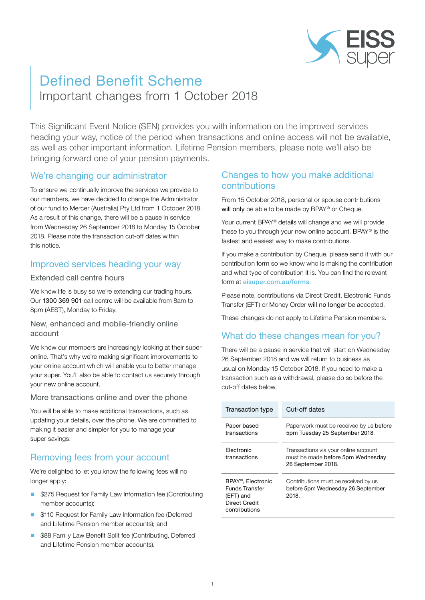

# Defined Benefit Scheme Important changes from 1 October 2018

This Significant Event Notice (SEN) provides you with information on the improved services heading your way, notice of the period when transactions and online access will not be available, as well as other important information. Lifetime Pension members, please note we'll also be bringing forward one of your pension payments.

# We're changing our administrator

To ensure we continually improve the services we provide to our members, we have decided to change the Administrator of our fund to Mercer (Australia) Pty Ltd from 1 October 2018. As a result of this change, there will be a pause in service from Wednesday 26 September 2018 to Monday 15 October 2018. Please note the transaction cut-off dates within this notice.

# Improved services heading your way

### Extended call centre hours

We know life is busy so we're extending our trading hours. Our 1300 369 901 call centre will be available from 8am to 8pm (AEST), Monday to Friday.

### New, enhanced and mobile-friendly online account

We know our members are increasingly looking at their super online. That's why we're making significant improvements to your online account which will enable you to better manage your super. You'll also be able to contact us securely through your new online account.

### More transactions online and over the phone

You will be able to make additional transactions, such as updating your details, over the phone. We are committed to making it easier and simpler for you to manage your super savings.

# Removing fees from your account

We're delighted to let you know the following fees will no longer apply:

- \$275 Request for Family Law Information fee (Contributing member accounts);
- **5110 Request for Family Law Information fee (Deferred** and Lifetime Pension member accounts); and
- \$88 Family Law Benefit Split fee (Contributing, Deferred and Lifetime Pension member accounts).

### Changes to how you make additional contributions

From 15 October 2018, personal or spouse contributions will only be able to be made by BPAY® or Cheque.

Your current BPAY® details will change and we will provide these to you through your new online account. BPAY® is the fastest and easiest way to make contributions.

If you make a contribution by Cheque, please send it with our contribution form so we know who is making the contribution and what type of contribution it is. You can find the relevant form at [eisuper.com.au/forms](https://www.eisuper.com.au/forms).

Please note, contributions via Direct Credit, Electronic Funds Transfer (EFT) or Money Order will no longer be accepted.

These changes do not apply to Lifetime Pension members.

# What do these changes mean for you?

There will be a pause in service that will start on Wednesday 26 September 2018 and we will return to business as usual on Monday 15 October 2018. If you need to make a transaction such as a withdrawal, please do so before the cut-off dates below.

| Transaction type                                                                          | Cut-off dates                                                                                   |
|-------------------------------------------------------------------------------------------|-------------------------------------------------------------------------------------------------|
| Paper based<br>transactions                                                               | Paperwork must be received by us before<br>5pm Tuesday 25 September 2018.                       |
| Flectronic<br>transactions                                                                | Transactions via your online account<br>must be made before 5pm Wednesday<br>26 September 2018. |
| BPAY®, Electronic<br>Funds Transfer<br>(EFT) and<br><b>Direct Credit</b><br>contributions | Contributions must be received by us<br>before 5pm Wednesday 26 September<br>2018.              |